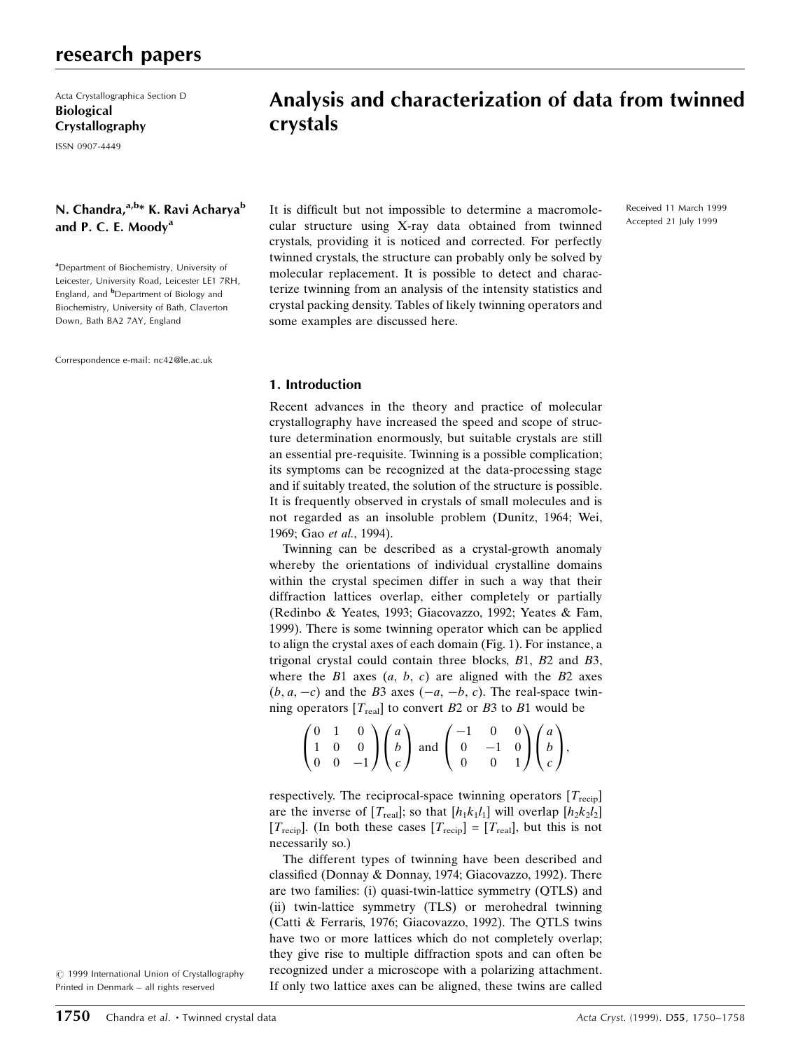Acta Crystallographica Section D Biological Crystallography

ISSN 0907-4449

# N. Chandra, <sup>a, b</sup>\* K. Ravi Acharya<sup>b</sup> and P. C. E. Moody<sup>a</sup>

<sup>a</sup> Department of Biochemistry, University of Leicester, University Road, Leicester LE1 7RH, England, and <sup>b</sup>Department of Biology and Biochemistry, University of Bath, Claverton Down, Bath BA2 7AY, England

Correspondence e-mail: nc42@le.ac.uk

# Analysis and characterization of data from twinned crystals

It is difficult but not impossible to determine a macromolecular structure using X-ray data obtained from twinned crystals, providing it is noticed and corrected. For perfectly twinned crystals, the structure can probably only be solved by molecular replacement. It is possible to detect and characterize twinning from an analysis of the intensity statistics and crystal packing density. Tables of likely twinning operators and some examples are discussed here.

#### Received 11 March 1999 Accepted 21 July 1999

#### 1. Introduction

Recent advances in the theory and practice of molecular crystallography have increased the speed and scope of structure determination enormously, but suitable crystals are still an essential pre-requisite. Twinning is a possible complication; its symptoms can be recognized at the data-processing stage and if suitably treated, the solution of the structure is possible. It is frequently observed in crystals of small molecules and is not regarded as an insoluble problem (Dunitz, 1964; Wei, 1969; Gao et al., 1994).

Twinning can be described as a crystal-growth anomaly whereby the orientations of individual crystalline domains within the crystal specimen differ in such a way that their diffraction lattices overlap, either completely or partially (Redinbo & Yeates, 1993; Giacovazzo, 1992; Yeates & Fam, 1999). There is some twinning operator which can be applied to align the crystal axes of each domain (Fig. 1). For instance, a trigonal crystal could contain three blocks, B1, B2 and B3, where the  $B1$  axes  $(a, b, c)$  are aligned with the  $B2$  axes  $(b, a, -c)$  and the B3 axes  $(-a, -b, c)$ . The real-space twinning operators  $[T_{\text{real}}]$  to convert B2 or B3 to B1 would be

$$
\begin{pmatrix} 0 & 1 & 0 \\ 1 & 0 & 0 \\ 0 & 0 & -1 \end{pmatrix} \begin{pmatrix} a \\ b \\ c \end{pmatrix} \text{ and } \begin{pmatrix} -1 & 0 & 0 \\ 0 & -1 & 0 \\ 0 & 0 & 1 \end{pmatrix} \begin{pmatrix} a \\ b \\ c \end{pmatrix},
$$

respectively. The reciprocal-space twinning operators  $[T_{\text{recip}}]$ are the inverse of  $[T_{\text{real}}]$ ; so that  $[h_1k_1l_1]$  will overlap  $[h_2k_2l_2]$  $[T_{\text{recip}}]$ . (In both these cases  $[T_{\text{recip}}]=[T_{\text{real}}]$ , but this is not necessarily so.)

The different types of twinning have been described and classified (Donnay & Donnay, 1974; Giacovazzo, 1992). There are two families: (i) quasi-twin-lattice symmetry (QTLS) and (ii) twin-lattice symmetry (TLS) or merohedral twinning (Catti & Ferraris, 1976; Giacovazzo, 1992). The QTLS twins have two or more lattices which do not completely overlap; they give rise to multiple diffraction spots and can often be recognized under a microscope with a polarizing attachment. If only two lattice axes can be aligned, these twins are called

 $©$  1999 International Union of Crystallography Printed in Denmark - all rights reserved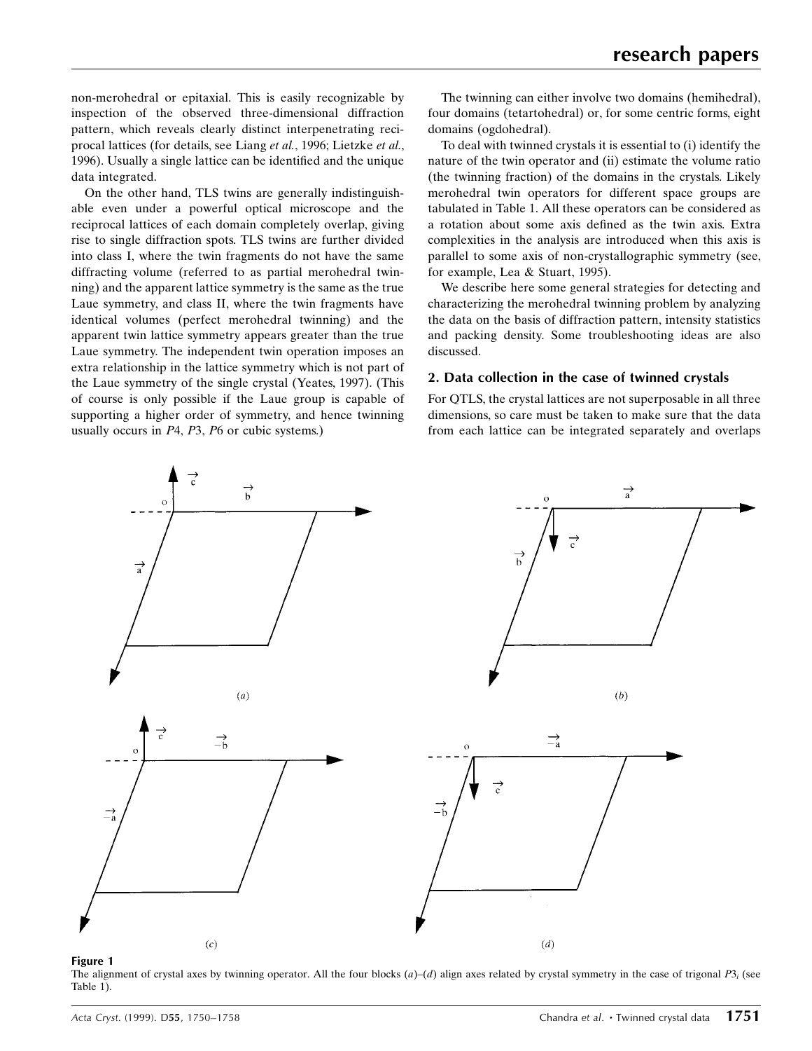non-merohedral or epitaxial. This is easily recognizable by inspection of the observed three-dimensional diffraction pattern, which reveals clearly distinct interpenetrating reciprocal lattices (for details, see Liang et al., 1996; Lietzke et al., 1996). Usually a single lattice can be identified and the unique data integrated.

On the other hand, TLS twins are generally indistinguishable even under a powerful optical microscope and the reciprocal lattices of each domain completely overlap, giving rise to single diffraction spots. TLS twins are further divided into class I, where the twin fragments do not have the same diffracting volume (referred to as partial merohedral twinning) and the apparent lattice symmetry is the same as the true Laue symmetry, and class II, where the twin fragments have identical volumes (perfect merohedral twinning) and the apparent twin lattice symmetry appears greater than the true Laue symmetry. The independent twin operation imposes an extra relationship in the lattice symmetry which is not part of the Laue symmetry of the single crystal (Yeates, 1997). (This of course is only possible if the Laue group is capable of supporting a higher order of symmetry, and hence twinning usually occurs in P4, P3, P6 or cubic systems.)

The twinning can either involve two domains (hemihedral), four domains (tetartohedral) or, for some centric forms, eight domains (ogdohedral).

To deal with twinned crystals it is essential to (i) identify the nature of the twin operator and (ii) estimate the volume ratio (the twinning fraction) of the domains in the crystals. Likely merohedral twin operators for different space groups are tabulated in Table 1. All these operators can be considered as a rotation about some axis defined as the twin axis. Extra complexities in the analysis are introduced when this axis is parallel to some axis of non-crystallographic symmetry (see, for example, Lea & Stuart, 1995).

We describe here some general strategies for detecting and characterizing the merohedral twinning problem by analyzing the data on the basis of diffraction pattern, intensity statistics and packing density. Some troubleshooting ideas are also discussed.

### 2. Data collection in the case of twinned crystals

For QTLS, the crystal lattices are not superposable in all three dimensions, so care must be taken to make sure that the data from each lattice can be integrated separately and overlaps



Figure 1

The alignment of crystal axes by twinning operator. All the four blocks  $(a)$ – $(d)$  align axes related by crystal symmetry in the case of trigonal P3; (see Table 1).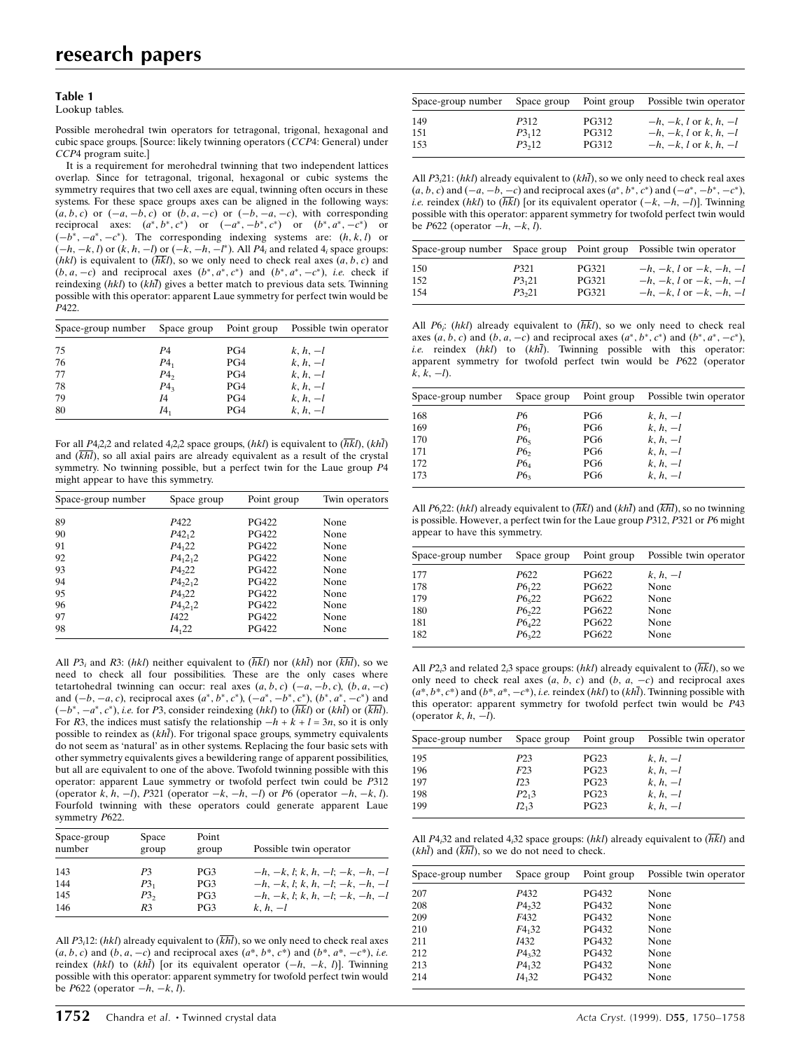#### Table 1

Lookup tables.

Possible merohedral twin operators for tetragonal, trigonal, hexagonal and cubic space groups. [Source: likely twinning operators (CCP4: General) under CCP4 program suite.]

It is a requirement for merohedral twinning that two independent lattices overlap. Since for tetragonal, trigonal, hexagonal or cubic systems the symmetry requires that two cell axes are equal, twinning often occurs in these systems. For these space groups axes can be aligned in the following ways:  $(a, b, c)$  or  $(-a, -b, c)$  or  $(b, a, -c)$  or  $(-b, -a, -c)$ , with corresponding reciprocal axes:  $(a^*, b^*, c^*)$  or  $(-a^*, -b^*, c^*)$  or  $(b^*, a^*, -c^*)$  or  $(-b^*, -a^*, -c^*)$ . The corresponding indexing systems are:  $(h, k, l)$  or  $(-h, -k, l)$  or  $(k, h, -l)$  or  $(-k, -h, -l^*)$ . All  $P_1$  and related  $4_i$  space groups: (hkl) is equivalent to  $(\overline{hkl})$ , so we only need to check real axes  $(a, b, c)$  and  $(b, a, -c)$  and reciprocal axes  $(b^*, a^*, c^*)$  and  $(b^*, a^*, -c^*)$ , *i.e.* check if reindexing  $(hkl)$  to  $(kh\bar{l})$  gives a better match to previous data sets. Twinning possible with this operator: apparent Laue symmetry for perfect twin would be P422.

| Space-group number |         |     | Space group Point group Possible twin operator |
|--------------------|---------|-----|------------------------------------------------|
| 75                 | P4      | PG4 | $k, h, -l$                                     |
| 76                 | $P_{1}$ | PG4 | $k, h, -l$                                     |
| -77                | $P_4$   | PG4 | $k, h, -l$                                     |
| 78                 | $P_4$   | PG4 | $k, h, -l$                                     |
| 79                 | 14      | PG4 | $k, h, -l$                                     |
| -80                | 14,     | PG4 | $k, h, -l$                                     |

For all  $P4_12_12$  and related  $4_12_12$  space groups, (hkl) is equivalent to ( $\overline{hkl}$ ), (khl) and  $(kh)$ , so all axial pairs are already equivalent as a result of the crystal symmetry. No twinning possible, but a perfect twin for the Laue group P4 might appear to have this symmetry.

| Space-group number | Space group        | Point group  | Twin operators |
|--------------------|--------------------|--------------|----------------|
| 89                 | P422               | <b>PG422</b> | None           |
| 90                 | $P_{42,2}$         | <b>PG422</b> | None           |
| 91                 | $P_{122}$          | <b>PG422</b> | None           |
| 92                 | $P_{{}_{12_{12}}}$ | <b>PG422</b> | None           |
| 93                 | P4 <sub>22</sub>   | <b>PG422</b> | None           |
| 94                 | $P_{4,2,2}$        | <b>PG422</b> | None           |
| 95                 | $P_{322}$          | <b>PG422</b> | None           |
| 96                 | $P_{43}2_12$       | <b>PG422</b> | None           |
| 97                 | 1422               | <b>PG422</b> | None           |
| 98                 | $I4_{1}22$         | PG422        | None           |

All P3<sub>i</sub> and R3: (hkl) neither equivalent to  $(\overline{h}\overline{k}l)$  nor (kh $\overline{l}$ ) nor ( $\overline{k}\overline{h}l$ ), so we need to check all four possibilities. These are the only cases where tetartohedral twinning can occur: real axes  $(a, b, c)$   $(-a, -b, c)$ ,  $(b, a, -c)$ and  $(-b, -a, c)$ , reciprocal axes  $(a^*, b^*, c^*)$ ,  $(-a^*, -b^*, c^*)$ ,  $(b^*, a^*, -c^*)$  and  $(-b^*, -a^*, c^*)$ , *i.e.* for P3, consider reindexing (hkl) to (hkl) or (khl) or (khl). For R3, the indices must satisfy the relationship  $-h + k + l = 3n$ , so it is only possible to reindex as  $(kh\bar{l})$ . For trigonal space groups, symmetry equivalents do not seem as `natural' as in other systems. Replacing the four basic sets with other symmetry equivalents gives a bewildering range of apparent possibilities, but all are equivalent to one of the above. Twofold twinning possible with this operator: apparent Laue symmetry or twofold perfect twin could be P312 (operator k, h,  $-l$ ), P321 (operator  $-k$ ,  $-h$ ,  $-l$ ) or P6 (operator  $-h$ ,  $-k$ , l). Fourfold twinning with these operators could generate apparent Laue symmetry P622.

| Space-group<br>number | Space<br>group | Point<br>group | Possible twin operator            |
|-----------------------|----------------|----------------|-----------------------------------|
| 143                   | P3             | PG3            | $-h, -k, l; k, h, -l; -k, -h, -l$ |
| 144                   | $P3_1$         | PG3            | $-h, -k, l; k, h, -l; -k, -h, -l$ |
| 145                   | $P3_{2}$       | PG3            | $-h, -k, l; k, h, -l; -k, -h, -l$ |
| 146                   | R <sub>3</sub> | PG3            | $k, h, -l$                        |

All  $P3<sub>i</sub>12$ : (hkl) already equivalent to ( $\overline{khl}$ ), so we only need to check real axes  $(a, b, c)$  and  $(b, a, -c)$  and reciprocal axes  $(a*, b*, c*)$  and  $(b*, a*, -c*)$ , i.e. reindex (hkl) to (khl) [or its equivalent operator  $(-h, -k, l)$ ]. Twinning possible with this operator: apparent symmetry for twofold perfect twin would be  $P622$  (operator  $-h, -k, l$ ).

| Space-group number | Space group | Point group  | Possible twin operator    |
|--------------------|-------------|--------------|---------------------------|
| 149                | P312        | <b>PG312</b> | $-h, -k, l$ or k, h, $-l$ |
| 151                | P3,12       | <b>PG312</b> | $-h, -k, l$ or k, h, $-l$ |
| 153                | P3,12       | <b>PG312</b> | $-h, -k, l$ or k, h, $-l$ |

All  $P3,21$ : (hkl) already equivalent to (khl), so we only need to check real axes  $(a, b, c)$  and  $(-a, -b, -c)$  and reciprocal axes  $(a^*, b^*, c^*)$  and  $(-a^*, -b^*, -c^*)$ , *i.e.* reindex (hkl) to ( $\overline{h}\overline{k}l$ ) [or its equivalent operator  $(-k, -h, -l)$ ]. Twinning possible with this operator: apparent symmetry for twofold perfect twin would be  $P622$  (operator  $-h, -k, l$ ).

|      |       |              | Space-group number Space group Point group Possible twin operator |
|------|-------|--------------|-------------------------------------------------------------------|
| -150 | P321  | <b>PG321</b> | $-h, -k, l$ or $-k, -h, -l$                                       |
| 152  | P3,21 | <b>PG321</b> | $-h, -k, l$ or $-k, -h, -l$                                       |
| 154  | P3,21 | <b>PG321</b> | $-h, -k, l$ or $-k, -h, -l$                                       |

All P6; (hkl) already equivalent to  $(\overline{h}\overline{k}l)$ , so we only need to check real axes  $(a, b, c)$  and  $(b, a, -c)$  and reciprocal axes  $(a^*, b^*, c^*)$  and  $(b^*, a^*, -c^*)$ , i.e. reindex  $(hkl)$  to  $(kh\bar{l})$ . Twinning possible with this operator: apparent symmetry for twofold perfect twin would be P622 (operator  $k, k, -l$ ).

| Space-group number |                 |     | Space group Point group Possible twin operator |
|--------------------|-----------------|-----|------------------------------------------------|
| 168                | Р6              | PG6 | $k, h, -l$                                     |
| 169                | P6 <sub>1</sub> | PG6 | $k, h, -l$                                     |
| 170                | $P6_5$          | PG6 | $k, h, -l$                                     |
| 171                | P6 <sub>2</sub> | PG6 | $k, h, -l$                                     |
| 172                | $P6_4$          | PG6 | $k, h, -l$                                     |
| 173                | P6 <sub>3</sub> | PG6 | $k, h, -l$                                     |
|                    |                 |     |                                                |

All P6.22: (hkl) already equivalent to  $(\overline{hkl})$  and  $(kh\overline{l})$  and  $(\overline{khl})$ , so no twinning is possible. However, a perfect twin for the Laue group P312, P321 or P6 might appear to have this symmetry.

| Space-group number | Space group | Point group  | Possible twin operator |
|--------------------|-------------|--------------|------------------------|
| 177                | P622        | <b>PG622</b> | $k, h, -l$             |
| 178                | $P6_{1}22$  | <b>PG622</b> | None                   |
| 179                | $P6_{5}22$  | <b>PG622</b> | None                   |
| 180                | P6,22       | <b>PG622</b> | None                   |
| 181                | $P6_{4}22$  | <b>PG622</b> | None                   |
| 182                | $P6_{3}22$  | <b>PG622</b> | None                   |

All P2<sub>i</sub>3 and related 2<sub>i</sub>3 space groups: (hkl) already equivalent to ( $\overline{hkl}$ ), so we only need to check real axes  $(a, b, c)$  and  $(b, a, -c)$  and reciprocal axes  $(a^*, b^*, c^*)$  and  $(b^*, a^*, -c^*)$ , *i.e.* reindex (hkl) to (khl). Twinning possible with this operator: apparent symmetry for twofold perfect twin would be P43 (operator  $k, h, -l$ ).

| Space-group number | Space group       | Point group | Possible twin operator |
|--------------------|-------------------|-------------|------------------------|
| 195                | P <sub>2</sub> 3  | <b>PG23</b> | $k, h, -l$             |
| 196                | F23               | <b>PG23</b> | $k, h, -l$             |
| 197                | I23               | <b>PG23</b> | $k, h, -l$             |
| 198                | $P2_{1}3$         | <b>PG23</b> | $k, h, -l$             |
| 199                | I2 <sub>1</sub> 3 | <b>PG23</b> | $k, h, -l$             |

All P4<sub>i</sub>32 and related 4<sub>i</sub>32 space groups: (hkl) already equivalent to ( $\overline{hkl}$ ) and  $(kh\bar{l})$  and  $(\overline{khl})$ , so we do not need to check.

| Space-group number | Space group | Point group | Possible twin operator |
|--------------------|-------------|-------------|------------------------|
| 207                | P432        | PG432       | None                   |
| 208                | $P_{4,32}$  | PG432       | None                   |
| 209                | F432        | PG432       | None                   |
| 210                | F4,32       | PG432       | None                   |
| 211                | 1432        | PG432       | None                   |
| 212                | $P_{3,32}$  | PG432       | None                   |
| 213                | $P_{4,32}$  | PG432       | None                   |
| 214                | $I4_{1}32$  | PG432       | None                   |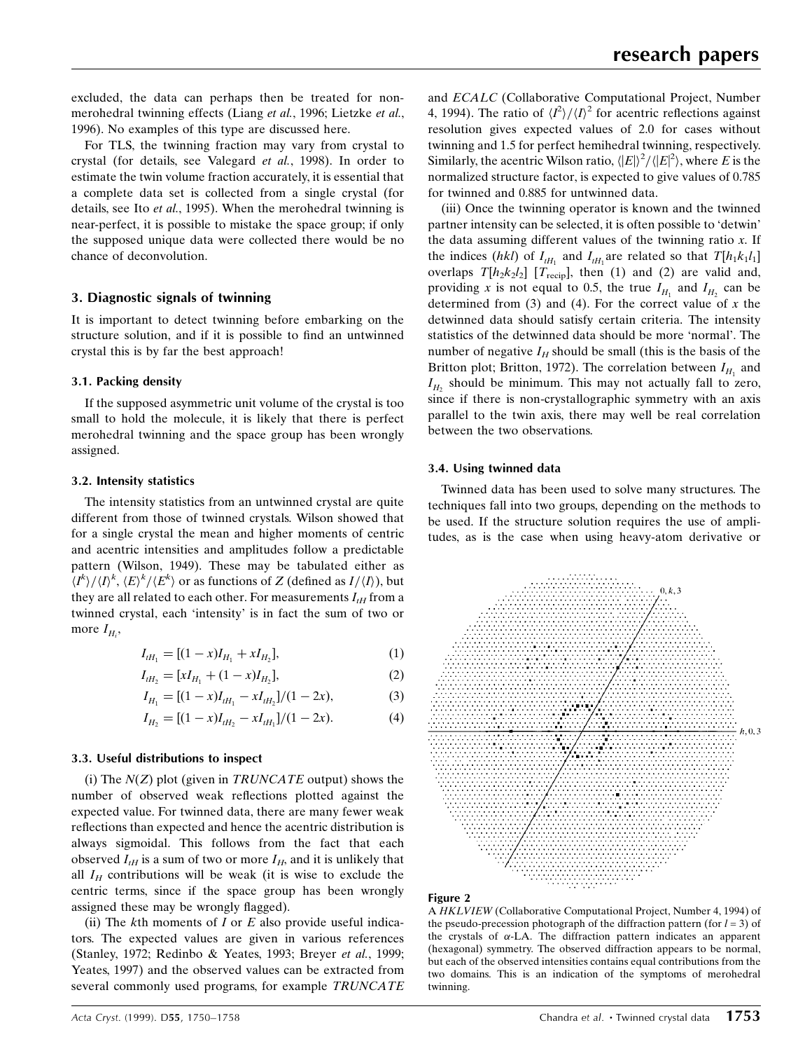excluded, the data can perhaps then be treated for nonmerohedral twinning effects (Liang et al., 1996; Lietzke et al., 1996). No examples of this type are discussed here.

For TLS, the twinning fraction may vary from crystal to crystal (for details, see Valegard et al., 1998). In order to estimate the twin volume fraction accurately, it is essential that a complete data set is collected from a single crystal (for details, see Ito *et al.*, 1995). When the merohedral twinning is near-perfect, it is possible to mistake the space group; if only the supposed unique data were collected there would be no chance of deconvolution.

# 3. Diagnostic signals of twinning

It is important to detect twinning before embarking on the structure solution, and if it is possible to find an untwinned crystal this is by far the best approach!

# 3.1. Packing density

If the supposed asymmetric unit volume of the crystal is too small to hold the molecule, it is likely that there is perfect merohedral twinning and the space group has been wrongly assigned.

# 3.2. Intensity statistics

The intensity statistics from an untwinned crystal are quite different from those of twinned crystals. Wilson showed that for a single crystal the mean and higher moments of centric and acentric intensities and amplitudes follow a predictable pattern (Wilson, 1949). These may be tabulated either as  $\langle I^{k}\rangle/\langle I\rangle^{k}, \langle E\rangle^{k}/\langle E^{k}\rangle$  or as functions of Z (defined as  $I/\langle I\rangle$ ), but they are all related to each other. For measurements  $I_{tH}$  from a twinned crystal, each `intensity' is in fact the sum of two or more  $I_{H_i}$ ,

$$
I_{tH_1} = [(1 - x)I_{H_1} + xI_{H_2}], \tag{1}
$$

$$
I_{tH_2} = [xI_{H_1} + (1 - x)I_{H_2}], \tag{2}
$$

$$
I_{H_1} = [(1-x)I_{tH_1} - xI_{tH_2}]/(1-2x), \tag{3}
$$

$$
I_{H_2} = [(1-x)I_{tH_2} - xI_{tH_1}]/(1-2x). \tag{4}
$$

# 3.3. Useful distributions to inspect

(i) The  $N(Z)$  plot (given in TRUNCATE output) shows the number of observed weak reflections plotted against the expected value. For twinned data, there are many fewer weak reflections than expected and hence the acentric distribution is always sigmoidal. This follows from the fact that each observed  $I_{tH}$  is a sum of two or more  $I_H$ , and it is unlikely that all  $I_H$  contributions will be weak (it is wise to exclude the centric terms, since if the space group has been wrongly assigned these may be wrongly flagged).

(ii) The  $k$ th moments of  $I$  or  $E$  also provide useful indicators. The expected values are given in various references (Stanley, 1972; Redinbo & Yeates, 1993; Breyer et al., 1999; Yeates, 1997) and the observed values can be extracted from several commonly used programs, for example TRUNCATE

(iii) Once the twinning operator is known and the twinned partner intensity can be selected, it is often possible to `detwin' the data assuming different values of the twinning ratio  $x$ . If the indices (hkl) of  $I_{tH_1}$  and  $I_{tH_1}$  are related so that  $T[h_1k_1l_1]$ overlaps  $T[h_2k_2l_2]$  [ $T_{\text{recip}}$ ], then (1) and (2) are valid and, providing x is not equal to 0.5, the true  $I_{H_1}$  and  $I_{H_2}$  can be determined from  $(3)$  and  $(4)$ . For the correct value of x the detwinned data should satisfy certain criteria. The intensity statistics of the detwinned data should be more `normal'. The number of negative  $I_H$  should be small (this is the basis of the Britton plot; Britton, 1972). The correlation between  $I_{H_1}$  and  $I_{H_2}$  should be minimum. This may not actually fall to zero, since if there is non-crystallographic symmetry with an axis parallel to the twin axis, there may well be real correlation between the two observations.

# 3.4. Using twinned data

Twinned data has been used to solve many structures. The techniques fall into two groups, depending on the methods to be used. If the structure solution requires the use of amplitudes, as is the case when using heavy-atom derivative or





A HKLVIEW (Collaborative Computational Project, Number 4, 1994) of the pseudo-precession photograph of the diffraction pattern (for  $l = 3$ ) of the crystals of  $\alpha$ -LA. The diffraction pattern indicates an apparent (hexagonal) symmetry. The observed diffraction appears to be normal, but each of the observed intensities contains equal contributions from the two domains. This is an indication of the symptoms of merohedral twinning.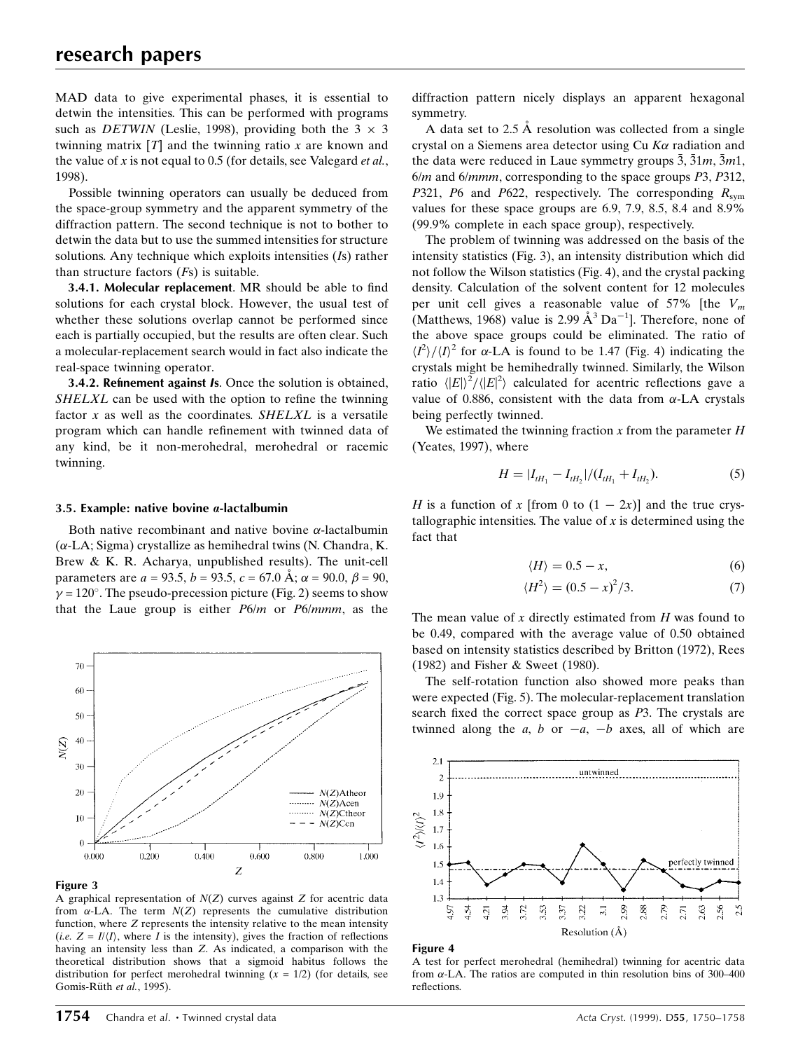MAD data to give experimental phases, it is essential to detwin the intensities. This can be performed with programs such as *DETWIN* (Leslie, 1998), providing both the  $3 \times 3$ twinning matrix  $[T]$  and the twinning ratio x are known and the value of  $x$  is not equal to 0.5 (for details, see Valegard *et al.*, 1998).

Possible twinning operators can usually be deduced from the space-group symmetry and the apparent symmetry of the diffraction pattern. The second technique is not to bother to detwin the data but to use the summed intensities for structure solutions. Any technique which exploits intensities (Is) rather than structure factors  $(Fs)$  is suitable.

3.4.1. Molecular replacement. MR should be able to find solutions for each crystal block. However, the usual test of whether these solutions overlap cannot be performed since each is partially occupied, but the results are often clear. Such a molecular-replacement search would in fact also indicate the real-space twinning operator.

3.4.2. Refinement against Is. Once the solution is obtained,  $SHELXL$  can be used with the option to refine the twinning factor  $x$  as well as the coordinates. SHELXL is a versatile program which can handle refinement with twinned data of any kind, be it non-merohedral, merohedral or racemic twinning.

### 3.5. Example: native bovine  $\alpha$ -lactalbumin

Both native recombinant and native bovine  $\alpha$ -lactalbumin  $(\alpha$ -LA; Sigma) crystallize as hemihedral twins (N. Chandra, K. Brew & K. R. Acharya, unpublished results). The unit-cell parameters are  $a = 93.5$ ,  $b = 93.5$ ,  $c = 67.0$  Å;  $\alpha = 90.0$ ,  $\beta = 90$ ,  $\gamma = 120^{\circ}$ . The pseudo-precession picture (Fig. 2) seems to show that the Laue group is either  $P6/m$  or  $P6/mmm$ , as the



#### Figure 3

A graphical representation of  $N(Z)$  curves against Z for acentric data from  $\alpha$ -LA. The term  $N(Z)$  represents the cumulative distribution function, where Z represents the intensity relative to the mean intensity (i.e.  $Z = I/(I)$ , where I is the intensity), gives the fraction of reflections having an intensity less than Z. As indicated, a comparison with the theoretical distribution shows that a sigmoid habitus follows the distribution for perfect merohedral twinning  $(x = 1/2)$  (for details, see Gomis-Rüth et al., 1995).

diffraction pattern nicely displays an apparent hexagonal symmetry.

A data set to  $2.5 \text{ Å}$  resolution was collected from a single crystal on a Siemens area detector using  $Cu$  K $\alpha$  radiation and the data were reduced in Laue symmetry groups  $\bar{3}, \bar{3}1m, \bar{3}m1$ , 6/m and 6/mmm, corresponding to the space groups P3, P312, P321, P6 and P622, respectively. The corresponding  $R_{sym}$ values for these space groups are 6.9, 7.9, 8.5, 8.4 and 8.9% (99.9% complete in each space group), respectively.

The problem of twinning was addressed on the basis of the intensity statistics (Fig. 3), an intensity distribution which did not follow the Wilson statistics (Fig. 4), and the crystal packing density. Calculation of the solvent content for 12 molecules per unit cell gives a reasonable value of 57% [the  $V_m$ (Matthews, 1968) value is 2.99  $\AA$ <sup>3</sup> Da<sup>-1</sup>]. Therefore, none of the above space groups could be eliminated. The ratio of  $\langle I^2 \rangle / \langle I \rangle^2$  for  $\alpha$ -LA is found to be 1.47 (Fig. 4) indicating the crystals might be hemihedrally twinned. Similarly, the Wilson ratio  $\langle |E|\rangle^2/\langle |E|^2\rangle$  calculated for acentric reflections gave a value of 0.886, consistent with the data from  $\alpha$ -LA crystals being perfectly twinned.

We estimated the twinning fraction  $x$  from the parameter  $H$ (Yeates, 1997), where

$$
H = |I_{tH_1} - I_{tH_2}|/(I_{tH_1} + I_{tH_2}).
$$
\n(5)

H is a function of x [from 0 to  $(1 - 2x)$ ] and the true crystallographic intensities. The value of  $x$  is determined using the fact that

$$
\langle H \rangle = 0.5 - x,\tag{6}
$$

$$
\langle H^2 \rangle = (0.5 - x)^2 / 3. \tag{7}
$$

The mean value of  $x$  directly estimated from  $H$  was found to be 0.49, compared with the average value of 0.50 obtained based on intensity statistics described by Britton (1972), Rees (1982) and Fisher & Sweet (1980).

The self-rotation function also showed more peaks than were expected (Fig. 5). The molecular-replacement translation search fixed the correct space group as  $P3$ . The crystals are twinned along the a, b or  $-a$ ,  $-b$  axes, all of which are



#### Figure 4

A test for perfect merohedral (hemihedral) twinning for acentric data from  $\alpha$ -LA. The ratios are computed in thin resolution bins of 300–400 reflections.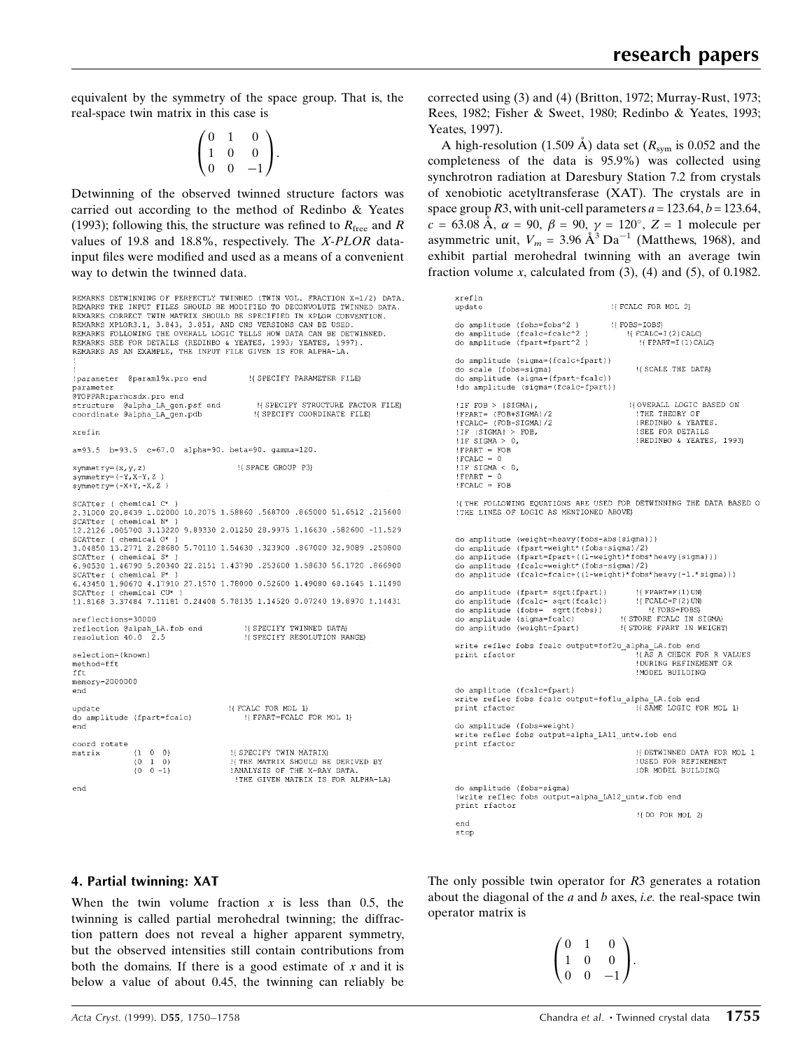equivalent by the symmetry of the space group. That is, the real-space twin matrix in this case is

$$
\begin{pmatrix} 0 & 1 & 0 \\ 1 & 0 & 0 \\ 0 & 0 & -1 \end{pmatrix}.
$$

Detwinning of the observed twinned structure factors was carried out according to the method of Redinbo & Yeates (1993); following this, the structure was refined to  $R_{\text{free}}$  and R values of 19.8 and 18.8%, respectively. The X-PLOR datainput files were modified and used as a means of a convenient way to detwin the twinned data.

```
REMARKS DETWINNING OF PERFECTLY TWINNED (TWIN VOL. FRACTION X=1/2) DATA.<br>REMARKS THE INPUT FILES SHOULD BE MODIFIED TO DECONVOLUTE TWINNED DATA.
REMARKS CORRECT TWIN MATRIX SHOULD BE SPECIFIED IN XPLOR CONVENTION.
REMARKS XPLOR3.1, 3.843, 3.851, AND CNS VERSIONS CAN BE USED.<br>REMARKS FOLLOWING THE OVERALL LOGIC TELLS HOW DATA CAN BE DETWINNED.
REMARKS SEE FOR DETAILS (REDINEO & YEATES, 1993; YEATES, 1997)<br>REMARKS AS AN EXAMPLE, THE INPUT FILE GIVEN IS FOR ALPHA-LA.
                                               !{ SPECIFY PARAMETER FILE}
!parameter @param19x.pro end
parameter
@TOPPAR:parhcsdx.pro end
structure @alpha_LA_gen.psf end<br>coordinate @alpha_LA_gen.pdb
                                                  ! SPECIFY STRUCTURE FACTOR FILE)
                                                H SPECIFY COORDINATE FILER
xrefin
a=93.5 b=93.5 c=67.0 alpha=90. beta=90. gamma=120.
                                            !{ SPACE GROUP P3}
symmetry=(x,y,z)symmetry= (-Y, X-Y, Z)symmetry= (-X+Y, -X, Z)SCATTer ( chemical C*
2.31000 20.8439 1.02000 10.2075 1.58860 .568700 .865000 51.6512 .215600
SCATter ( chemical N* )
12.2126 .005700 3.13220 9.89330 2.01250 28.9975 1.16630 .582600 -11.529
SCATter ( chemical O*
3.04850 13.2771 2.28680 5.70110 1.54630 .323900 .867000 32.9089 .250800
         ( chemical \mathbb{S}^\starSCATter
6.90530 1.46790 5.20340 22.2151 1.43790 .253600 1.58630 56.1720 .866900
SCATter
          ( chemical P
6.43450 1.90670 4.17910 27.1570 1.78000 0.52600 1.49080 68.1645 1.11490
SCATter ( chemical CU*
11.8168 3.37484 7.11181 0.24408 5.78135 1.14520 0.07240 19.8970 1.14431
nreflections=30000
                                              ! (SPECIFY TWINNED DATA)
reflection @alpah_LA.fob end<br>resolution 40.0\quad 2.5resolution 40.0
                                              !{ SPECIFY RESOLUTION RANGE}
selection=(known)
method=fft
fft
memory=2000000end
                                          \mathop{!}\{\text{FCALC FOR MOL }1\}update
do amplitude (fpart=fcalc)
                                              !{ FPART=FCALC FOR MOL 1}
end
coord rotate
                                          !{ SPECIFY TWIN MATRIX}
                \left(1-0-0\right)matrix
                                          I THE MATRIX SHOULD BE DERIVED BY IANALYSIS OF THE X-RAY DATA.
                (0 \t1 \t0)(0 \t 0 \t -1)!THE GIVEN MATRIX IS FOR ALPHA-LA}
end
```

```
corrected using (3) and (4) (Britton, 1972; Murray-Rust, 1973;
Rees, 1982; Fisher & Sweet, 1980; Redinbo & Yeates, 1993;
Yeates, 1997).
```
A high-resolution (1.509 Å) data set ( $R_{sym}$  is 0.052 and the completeness of the data is 95.9%) was collected using synchrotron radiation at Daresbury Station 7.2 from crystals of xenobiotic acetyltransferase (XAT). The crystals are in space group R3, with unit-cell parameters  $a = 123.64$ ,  $b = 123.64$ ,  $c = 63.08$  Å,  $\alpha = 90$ ,  $\beta = 90$ ,  $\gamma = 120^{\circ}$ ,  $Z = 1$  molecule per asymmetric unit,  $V_m = 3.96 \text{ Å}^3 \text{Da}^{-1}$  (Matthews, 1968), and exhibit partial merohedral twinning with an average twin fraction volume x, calculated from  $(3)$ ,  $(4)$  and  $(5)$ , of 0.1982.

```
xrefin
                                        !{ FCALC FOR MOL 2}
update
do amplitude (fobs=fobs^2)
                                         ! FOBS=IOBS}
                                             !( FCALC=I(2)CALC
do amplitude (fcalc=fcalc^2
do amplitude (fpart=fpart^2)
                                                ! (FPART=I(1) CALCH
do amplitude (sigma=(fcalc+fpart))
                                               !{ SCALE THE DATA}
do scale (fobs=sigma)
do amplitude (sigma=(fpart-fcalc))
!do amplitude (sigma=(fcalc-fpart))
!IF FOB > ISIGMAI.
                                             HOVERALL LOGIC BASED ON
!FPART= (FOB+SIGMA)/2<br>!FCALC= (FOB-SIGMA)/2
                                                THE THEORY OF
                                               IREDINBO & YEATES.
                                                ISEE FOR DETAILS
|IF|SIGMA| > FOB,!IF SIGMA > 0,
                                               !REDINBO & YEATES, 1993}
'<br>'FPART = FOB<br>'FCALC = 0
IIF SIGMA < 0,
 FPART = C! FCALC = FOB
HARR FOLLOWING EQUATIONS ARE USED FOR DETWINNING THE DATA BASED OF
!THE LINES OF LOGIC AS MENTIONED ABOVE}
do amplitude (weight=heavy(fobs-abs(sigma)))<br>do amplitude (fpart=weight*(fobs+sigma)/2)<br>do amplitude (fpart=fpart+((1-weight)*fobs*heavy(sigma)))<br>do amplitude (fcalc=weight*(fobs-sigma)/2)
do amplitude (fcalc=fcalc+((1-weight)*fobs*heavy(-1.*sigma)))
                                               ! { FPART=F(1) UN}
do amplitude (fpart= sqrt(fpart))
do amplitude (fcalc= sqrt(fcalc))<br>do amplitude (fobs= sqrt(fobs))
                                               \{FCALC=F(2)UN\}!! FOBS=FOBS}
do amplitude (sigma=fcalc)
                                           !(STORE FCALC IN SIGMA)<br>!(STORE FPART IN WEIGHT)
do amplitude (weight=fpart)
write reflec fobs fcalc output=fof2u alpha LA.fob end
                                               HAS A CHECK FOR R VALUES
print rfactor
                                               !DURING REFINEMENT OR
                                               ! MODEL BUILDING}
do amplitude (fcalc=fpart)
write reflec fobs fcalc output=foflu_alpha_LA.fob end
print rfactor
                                               !{ SAME LOGIC FOR MOL 1}
do amplitude (fobs=weight)
write reflec fobs output=alpha_LAll_untw.fob end
print rfactor
                                               ! (DETWINNED DATA FOR MOL 1
                                               !USED FOR REFINEMENT
                                               IOR MODEL BUILDING)
do amplitude (fobs=sigma)
!write reflec fobs output=alpha_LA12_untw.fob end
print rfactor
                                               ! (DO FOR MOL 2)
end
stop
```
# 4. Partial twinning: XAT

When the twin volume fraction  $x$  is less than 0.5, the twinning is called partial merohedral twinning; the diffraction pattern does not reveal a higher apparent symmetry, but the observed intensities still contain contributions from both the domains. If there is a good estimate of  $x$  and it is below a value of about 0.45, the twinning can reliably be

The only possible twin operator for R3 generates a rotation about the diagonal of the  $a$  and  $b$  axes, *i.e.* the real-space twin operator matrix is

$$
\begin{pmatrix} 0 & 1 & 0 \\ 1 & 0 & 0 \\ 0 & 0 & -1 \end{pmatrix}.
$$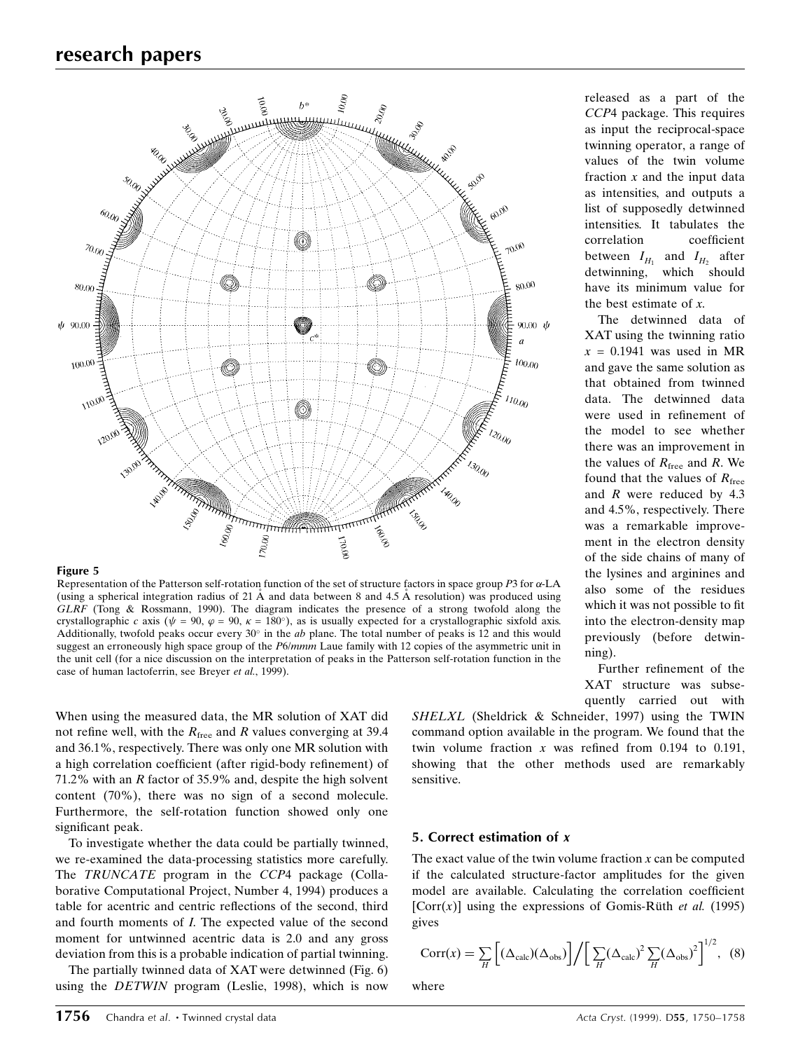

#### Figure 5

Representation of the Patterson self-rotation function of the set of structure factors in space group  $P3$  for  $\alpha$ -LA (using a spherical integration radius of 21  $\AA$  and data between 8 and 4.5  $\AA$  resolution) was produced using  $GLRF$  (Tong & Rossmann, 1990). The diagram indicates the presence of a strong twofold along the crystallographic c axis ( $\psi = 90$ ,  $\varphi = 90$ ,  $\kappa = 180^{\circ}$ ), as is usually expected for a crystallographic sixfold axis. Additionally, twofold peaks occur every  $30^\circ$  in the *ab* plane. The total number of peaks is 12 and this would suggest an erroneously high space group of the P6/mmm Laue family with 12 copies of the asymmetric unit in the unit cell (for a nice discussion on the interpretation of peaks in the Patterson self-rotation function in the case of human lactoferrin, see Breyer et al., 1999).

When using the measured data, the MR solution of XAT did not refine well, with the  $R_{\text{free}}$  and R values converging at 39.4 and 36.1%, respectively. There was only one MR solution with a high correlation coefficient (after rigid-body refinement) of 71.2% with an R factor of 35.9% and, despite the high solvent content (70%), there was no sign of a second molecule. Furthermore, the self-rotation function showed only one significant peak.

To investigate whether the data could be partially twinned, we re-examined the data-processing statistics more carefully. The TRUNCATE program in the CCP4 package (Collaborative Computational Project, Number 4, 1994) produces a table for acentric and centric reflections of the second, third and fourth moments of I. The expected value of the second moment for untwinned acentric data is 2.0 and any gross deviation from this is a probable indication of partial twinning.

The partially twinned data of XAT were detwinned (Fig. 6) using the DETWIN program (Leslie, 1998), which is now released as a part of the CCP4 package. This requires as input the reciprocal-space twinning operator, a range of values of the twin volume fraction  $x$  and the input data as intensities, and outputs a list of supposedly detwinned intensities. It tabulates the correlation coefficient between  $I_{H_1}$  and  $I_{H_2}$  after detwinning, which should have its minimum value for the best estimate of x.

The detwinned data of XAT using the twinning ratio  $x = 0.1941$  was used in MR and gave the same solution as that obtained from twinned data. The detwinned data were used in refinement of the model to see whether there was an improvement in the values of  $R_{\text{free}}$  and R. We found that the values of  $R_{\text{free}}$ and R were reduced by 4.3 and 4.5%, respectively. There was a remarkable improvement in the electron density of the side chains of many of the lysines and arginines and also some of the residues which it was not possible to fit into the electron-density map previously (before detwinning).

Further refinement of the XAT structure was subsequently carried out with

SHELXL (Sheldrick & Schneider, 1997) using the TWIN command option available in the program. We found that the twin volume fraction x was refined from 0.194 to 0.191, showing that the other methods used are remarkably sensitive.

# 5. Correct estimation of x

The exact value of the twin volume fraction  $x$  can be computed if the calculated structure-factor amplitudes for the given model are available. Calculating the correlation coefficient [Corr(x)] using the expressions of Gomis-Rüth *et al.* (1995) gives

$$
Corr(x) = \sum_{H} \left[ (\Delta_{calc})(\Delta_{obs}) \right] / \left[ \sum_{H} (\Delta_{calc})^2 \sum_{H} (\Delta_{obs})^2 \right]^{1/2}, \quad (8)
$$

where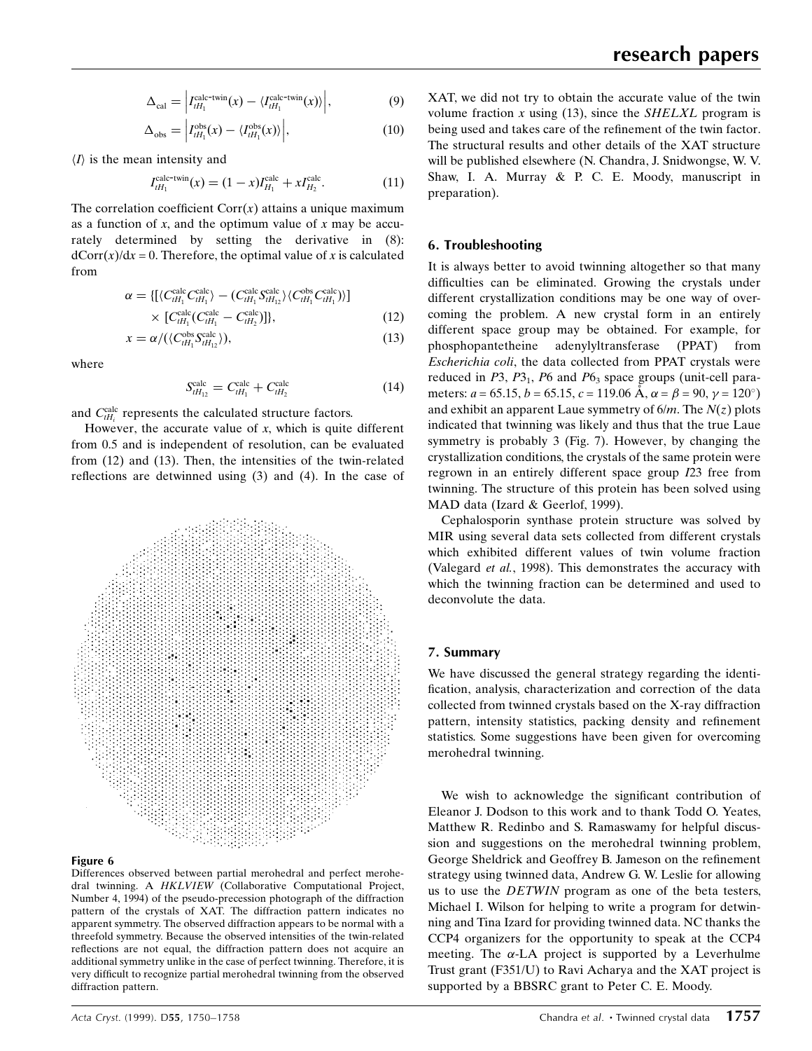$$
\Delta_{\text{cal}} = \left| I_{tH_1}^{\text{calc-twin}}(x) - \langle I_{tH_1}^{\text{calc-twin}}(x) \rangle \right|, \tag{9}
$$

$$
\Delta_{\rm obs} = \left| I_{tH_1}^{\rm obs}(x) - \langle I_{tH_1}^{\rm obs}(x) \rangle \right|, \tag{10}
$$

 $\langle I \rangle$  is the mean intensity and

$$
I_{tH_1}^{\text{calc-twin}}(x) = (1-x)I_{H_1}^{\text{calc}} + xI_{H_2}^{\text{calc}}.
$$
 (11)

The correlation coefficient  $Corr(x)$  attains a unique maximum as a function of x, and the optimum value of x may be accurately determined by setting the derivative in (8):  $dCorr(x)/dx = 0$ . Therefore, the optimal value of x is calculated from

$$
\alpha = \left\{ \left[ \langle C_{tH_1}^{\text{calc}} C_{tH_1}^{\text{calc}} \rangle - (C_{tH_1}^{\text{calc}} S_{tH_1}^{\text{calc}} \rangle \langle C_{tH_1}^{\text{obs}} C_{tH_1}^{\text{calc}} \rangle \right] \right\}
$$
  
×  $[C_{tH_1}^{\text{calc}} (C_{tH_1}^{\text{calc}} - C_{tH_2}^{\text{calc}})] \right\},$  (12)

$$
x = \alpha / (\langle C_{tH_1}^{\text{obs}} S_{tH_{12}}^{\text{calc}} \rangle), \tag{13}
$$

where

$$
S_{tH_{12}}^{\text{calc}} = C_{tH_1}^{\text{calc}} + C_{tH_2}^{\text{calc}} \tag{14}
$$

and  $C_{tH_i}^{\text{calc}}$  represents the calculated structure factors.

However, the accurate value of  $x$ , which is quite different from 0.5 and is independent of resolution, can be evaluated from (12) and (13). Then, the intensities of the twin-related reflections are detwinned using  $(3)$  and  $(4)$ . In the case of



# Figure 6

Differences observed between partial merohedral and perfect merohedral twinning. A HKLVIEW (Collaborative Computational Project, Number 4, 1994) of the pseudo-precession photograph of the diffraction pattern of the crystals of XAT. The diffraction pattern indicates no apparent symmetry. The observed diffraction appears to be normal with a threefold symmetry. Because the observed intensities of the twin-related reflections are not equal, the diffraction pattern does not acquire an additional symmetry unlike in the case of perfect twinning. Therefore, it is very difficult to recognize partial merohedral twinning from the observed diffraction pattern.

XAT, we did not try to obtain the accurate value of the twin volume fraction  $x$  using (13), since the SHELXL program is being used and takes care of the refinement of the twin factor. The structural results and other details of the XAT structure will be published elsewhere (N. Chandra, J. Snidwongse, W. V. Shaw, I. A. Murray & P. C. E. Moody, manuscript in preparation).

# 6. Troubleshooting

It is always better to avoid twinning altogether so that many difficulties can be eliminated. Growing the crystals under different crystallization conditions may be one way of overcoming the problem. A new crystal form in an entirely different space group may be obtained. For example, for phosphopantetheine adenylyltransferase (PPAT) from Escherichia coli, the data collected from PPAT crystals were reduced in  $P3$ ,  $P3_1$ ,  $P6$  and  $P6_3$  space groups (unit-cell parameters:  $a = 65.15$ ,  $b = 65.15$ ,  $c = 119.06$  Å,  $\alpha = \beta = 90$ ,  $\gamma = 120^{\circ}$ ) and exhibit an apparent Laue symmetry of  $6/m$ . The  $N(z)$  plots indicated that twinning was likely and thus that the true Laue symmetry is probably 3 (Fig. 7). However, by changing the crystallization conditions, the crystals of the same protein were regrown in an entirely different space group I23 free from twinning. The structure of this protein has been solved using MAD data (Izard & Geerlof, 1999).

Cephalosporin synthase protein structure was solved by MIR using several data sets collected from different crystals which exhibited different values of twin volume fraction (Valegard et al., 1998). This demonstrates the accuracy with which the twinning fraction can be determined and used to deconvolute the data.

# 7. Summary

We have discussed the general strategy regarding the identi fication, analysis, characterization and correction of the data collected from twinned crystals based on the X-ray diffraction pattern, intensity statistics, packing density and refinement statistics. Some suggestions have been given for overcoming merohedral twinning.

We wish to acknowledge the significant contribution of Eleanor J. Dodson to this work and to thank Todd O. Yeates, Matthew R. Redinbo and S. Ramaswamy for helpful discussion and suggestions on the merohedral twinning problem, George Sheldrick and Geoffrey B. Jameson on the refinement strategy using twinned data, Andrew G. W. Leslie for allowing us to use the DETWIN program as one of the beta testers, Michael I. Wilson for helping to write a program for detwinning and Tina Izard for providing twinned data. NC thanks the CCP4 organizers for the opportunity to speak at the CCP4 meeting. The  $\alpha$ -LA project is supported by a Leverhulme Trust grant (F351/U) to Ravi Acharya and the XAT project is supported by a BBSRC grant to Peter C. E. Moody.